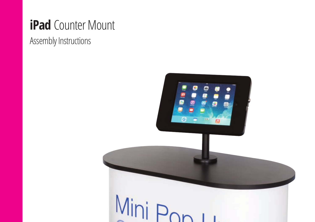## **iPad** Counter Mount

Assembly Instructions

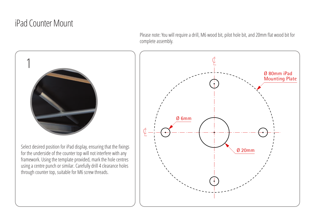## iPad Counter Mount



Select desired position for iPad display, ensuring that the fixings for the underside of the counter top will not interfere with any framework. Using the template provided, mark the hole centres using a centre punch or similar. Carefully drill 4 clearance holes through counter top, suitable for M6 screw threads.

Please note: You will require a drill, M6 wood bit, pilot hole bit, and 20mm flat wood bit for complete assembly.

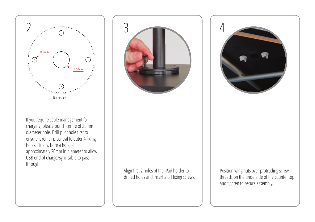

If you require cable management for charging, please punch centre of 20mm diameter hole. Drill pilot hole first to ensure it remains central to outer 4 fixing holes. Finally, bore a hole of approximately 20mm in diameter to allow USB end of charge/sync cable to pass through.



Align first 2 holes of the iPad holder to drilled holes and insert 2 off fixing screws.



Position wing nuts over protruding screw threads on the underside of the counter top and tighten to secure assembly.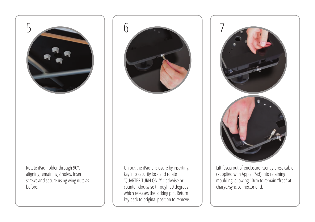

Rotate iPad holder through 90º, aligning remaining 2 holes. Insert screws and secure using wing nuts as before.

Unlock the iPad enclosure by inserting key into security lock and rotate 'QUARTER TURN ONLY' clockwise or counter-clockwise through 90 degrees which releases the locking pin. Return key back to original position to remove.

6



Lift fascia out of enclosure. Gently press cable (supplied with Apple iPad) into retaining moulding, allowing 10cm to remain "free" at charge/sync connector end.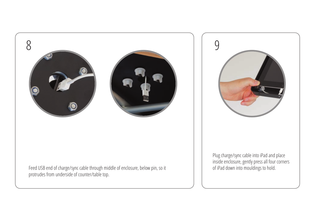



Plug charge/sync cable into iPad and place inside enclosure, gently press all four corners of iPad down into mouldings to hold.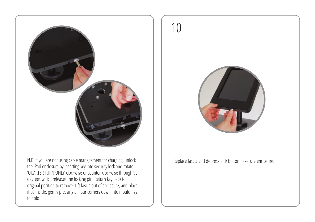

N.B. If you are not using cable management for charging, unlock Replace fascia and depress lock button to secure enclosure. the iPad enclosure by inserting key into security lock and rotate 'QUARTER TURN ONLY' clockwise or counter-clockwise through 90 degrees which releases the locking pin. Return key back to original position to remove. Lift fascia out of enclosure, and place iPad inside, gently pressing all four corners down into mouldings to hold.

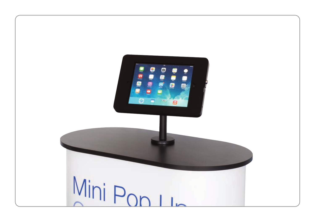